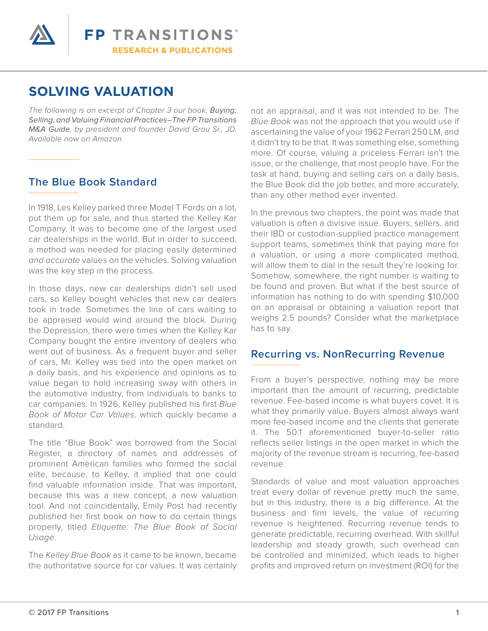

# **SOLVING VALUATION**

*The following is an excerpt of Chapter 3 our book, Buying, Selling, and Valuing Financial Practices–The FP Transitions M&A Guide, by president and founder David Grau Sr., JD. Available now on Amazon.*

## **The Blue Book Standard**

In 1918, Les Kelley parked three Model T Fords on a lot, put them up for sale, and thus started the Kelley Kar Company. It was to become one of the largest used car dealerships in the world. But in order to succeed, a method was needed for placing easily determined *and accurate* values on the vehicles. Solving valuation was the key step in the process.

In those days, new car dealerships didn't sell used cars, so Kelley bought vehicles that new car dealers took in trade. Sometimes the line of cars waiting to be appraised would wind around the block. During the Depression, there were times when the Kelley Kar Company bought the entire inventory of dealers who went out of business. As a frequent buyer and seller of cars, Mr. Kelley was tied into the open market on a daily basis, and his experience and opinions as to value began to hold increasing sway with others in the automotive industry, from individuals to banks to car companies. In 1926, Kelley published his first *Blue Book of Motor Car Values*, which quickly became a standard.

The title "Blue Book" was borrowed from the Social Register, a directory of names and addresses of prominent American families who formed the social elite, because, to Kelley, it implied that one could find valuable information inside. That was important, because this was a new concept, a new valuation tool. And not coincidentally, Emily Post had recently published her first book on how to do certain things properly, titled *Etiquette: The Blue Book of Social Usage*.

The *Kelley Blue Book* as it came to be known, became the authoritative source for car values. It was certainly not an appraisal, and it was not intended to be. The *Blue Book* was not the approach that you would use if ascertaining the value of your 1962 Ferrari 250 LM, and it didn't try to be that. It was something else, something more. Of course, valuing a priceless Ferrari isn't the issue, or the challenge, that most people have. For the task at hand, buying and selling cars on a daily basis, the Blue Book did the job better, and more accurately, than any other method ever invented.

In the previous two chapters, the point was made that valuation is often a divisive issue. Buyers, sellers, and their IBD or custodian-supplied practice management support teams, sometimes think that paying more for a valuation, or using a more complicated method, will allow them to dial in the result they're looking for. Somehow, somewhere, the right number is waiting to be found and proven. But what if the best source of information has nothing to do with spending \$10,000 on an appraisal or obtaining a valuation report that weighs 2.5 pounds? Consider what the marketplace has to say.

#### **Recurring vs. NonRecurring Revenue**

From a buyer's perspective, nothing may be more important than the amount of recurring, predictable revenue. Fee-based income is what buyers covet. It is what they primarily value. Buyers almost always want more fee-based income and the clients that generate it. The 50:1 aforementioned buyer-to-seller ratio reflects seller listings in the open market in which the majority of the revenue stream is recurring, fee-based revenue.

Standards of value and most valuation approaches treat every dollar of revenue pretty much the same, but in this industry, there is a big difference. At the business and firm levels, the value of recurring revenue is heightened. Recurring revenue tends to generate predictable, recurring overhead. With skillful leadership and steady growth, such overhead can be controlled and minimized, which leads to higher profits and improved return on investment (ROI) for the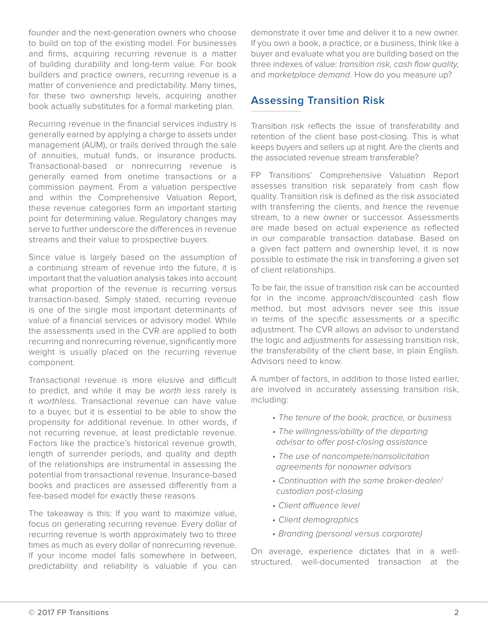founder and the next-generation owners who choose to build on top of the existing model. For businesses and firms, acquiring recurring revenue is a matter of building durability and long-term value. For book builders and practice owners, recurring revenue is a matter of convenience and predictability. Many times, for these two ownership levels, acquiring another book actually substitutes for a formal marketing plan.

Recurring revenue in the financial services industry is generally earned by applying a charge to assets under management (AUM), or trails derived through the sale of annuities, mutual funds, or insurance products. Transactional-based or nonrecurring revenue is generally earned from onetime transactions or a commission payment. From a valuation perspective and within the Comprehensive Valuation Report, these revenue categories form an important starting point for determining value. Regulatory changes may serve to further underscore the differences in revenue streams and their value to prospective buyers.

Since value is largely based on the assumption of a continuing stream of revenue into the future, it is important that the valuation analysis takes into account what proportion of the revenue is recurring versus transaction-based. Simply stated, recurring revenue is one of the single most important determinants of value of a financial services or advisory model. While the assessments used in the CVR are applied to both recurring and nonrecurring revenue, significantly more weight is usually placed on the recurring revenue component.

Transactional revenue is more elusive and difficult to predict, and while it may be *worth less* rarely is it *worthless*. Transactional revenue can have value to a buyer, but it is essential to be able to show the propensity for additional revenue. In other words, if not recurring revenue, at least predictable revenue. Factors like the practice's historical revenue growth, length of surrender periods, and quality and depth of the relationships are instrumental in assessing the potential from transactional revenue. Insurance-based books and practices are assessed differently from a fee-based model for exactly these reasons.

The takeaway is this: If you want to maximize value, focus on generating recurring revenue. Every dollar of recurring revenue is worth approximately two to three times as much as every dollar of nonrecurring revenue. If your income model falls somewhere in between, predictability and reliability is valuable if you can demonstrate it over time and deliver it to a new owner. If you own a book, a practice, or a business, think like a buyer and evaluate what you are building based on the three indexes of value: *transition risk, cash flow quality,*  and *marketplace demand*. How do you measure up?

#### **Assessing Transition Risk**

Transition risk reflects the issue of transferability and retention of the client base post-closing. This is what keeps buyers and sellers up at night. Are the clients and the associated revenue stream transferable?

FP Transitions' Comprehensive Valuation Report assesses transition risk separately from cash flow quality. Transition risk is defined as the risk associated with transferring the clients, and hence the revenue stream, to a new owner or successor. Assessments are made based on actual experience as reflected in our comparable transaction database. Based on a given fact pattern and ownership level, it is now possible to estimate the risk in transferring a given set of client relationships.

To be fair, the issue of transition risk can be accounted for in the income approach/discounted cash flow method, but most advisors never see this issue in terms of the specific assessments or a specific adjustment. The CVR allows an advisor to understand the logic and adjustments for assessing transition risk, the transferability of the client base, in plain English. Advisors need to know.

A number of factors, in addition to those listed earlier, are involved in accurately assessing transition risk, including:

- *The tenure of the book, practice, or business*
- *The willingness/ability of the departing advisor to offer post-closing assistance*
- *The use of noncompete/nonsolicitation agreements for nonowner advisors*
- *Continuation with the same broker-dealer/ custodian post-closing*
- *Client affluence level*
- *Client demographics*
- *Branding (personal versus corporate)*

On average, experience dictates that in a wellstructured, well-documented transaction at the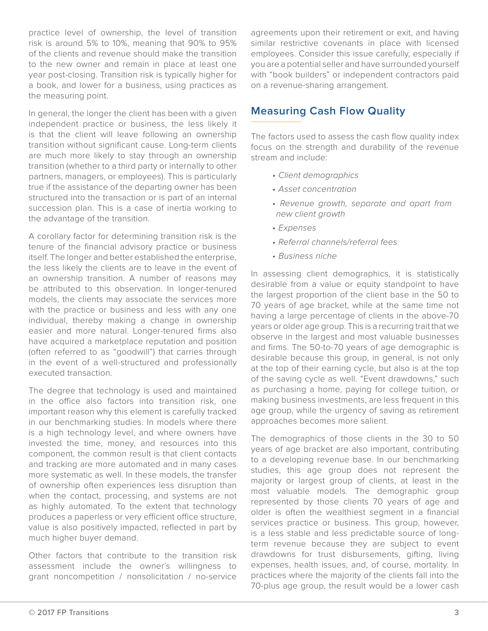practice level of ownership, the level of transition risk is around 5% to 10%, meaning that 90% to 95% of the clients and revenue should make the transition to the new owner and remain in place at least one year post-closing. Transition risk is typically higher for a book, and lower for a business, using practices as the measuring point.

In general, the longer the client has been with a given independent practice or business, the less likely it is that the client will leave following an ownership transition without significant cause. Long-term clients are much more likely to stay through an ownership transition (whether to a third party or internally to other partners, managers, or employees). This is particularly true if the assistance of the departing owner has been structured into the transaction or is part of an internal succession plan. This is a case of inertia working to the advantage of the transition.

A corollary factor for determining transition risk is the tenure of the financial advisory practice or business itself. The longer and better established the enterprise, the less likely the clients are to leave in the event of an ownership transition. A number of reasons may be attributed to this observation. In longer-tenured models, the clients may associate the services more with the practice or business and less with any one individual, thereby making a change in ownership easier and more natural. Longer-tenured firms also have acquired a marketplace reputation and position (often referred to as "goodwill") that carries through in the event of a well-structured and professionally executed transaction.

The degree that technology is used and maintained in the office also factors into transition risk, one important reason why this element is carefully tracked in our benchmarking studies. In models where there is a high technology level, and where owners have invested the time, money, and resources into this component, the common result is that client contacts and tracking are more automated and in many cases more systematic as well. In these models, the transfer of ownership often experiences less disruption than when the contact, processing, and systems are not as highly automated. To the extent that technology produces a paperless or very efficient office structure, value is also positively impacted, reflected in part by much higher buyer demand.

Other factors that contribute to the transition risk assessment include the owner's willingness to grant noncompetition / nonsolicitation / no-service agreements upon their retirement or exit, and having similar restrictive covenants in place with licensed employees. Consider this issue carefully, especially if you are a potential seller and have surrounded yourself with "book builders" or independent contractors paid on a revenue-sharing arrangement.

## **Measuring Cash Flow Quality**

The factors used to assess the cash flow quality index focus on the strength and durability of the revenue stream and include:

- *Client demographics*
- *Asset concentration*
- *Revenue growth, separate and apart from new client growth*
- *Expenses*
- *Referral channels/referral fees*
- *Business niche*

In assessing client demographics, it is statistically desirable from a value or equity standpoint to have the largest proportion of the client base in the 50 to 70 years of age bracket, while at the same time not having a large percentage of clients in the above-70 years or older age group. This is a recurring trait that we observe in the largest and most valuable businesses and firms. The 50-to-70 years of age demographic is desirable because this group, in general, is not only at the top of their earning cycle, but also is at the top of the saving cycle as well. "Event drawdowns," such as purchasing a home, paying for college tuition, or making business investments, are less frequent in this age group, while the urgency of saving as retirement approaches becomes more salient.

The demographics of those clients in the 30 to 50 years of age bracket are also important, contributing to a developing revenue base. In our benchmarking studies, this age group does not represent the majority or largest group of clients, at least in the most valuable models. The demographic group represented by those clients 70 years of age and older is often the wealthiest segment in a financial services practice or business. This group, however, is a less stable and less predictable source of longterm revenue because they are subject to event drawdowns for trust disbursements, gifting, living expenses, health issues, and, of course, mortality. In practices where the majority of the clients fall into the 70-plus age group, the result would be a lower cash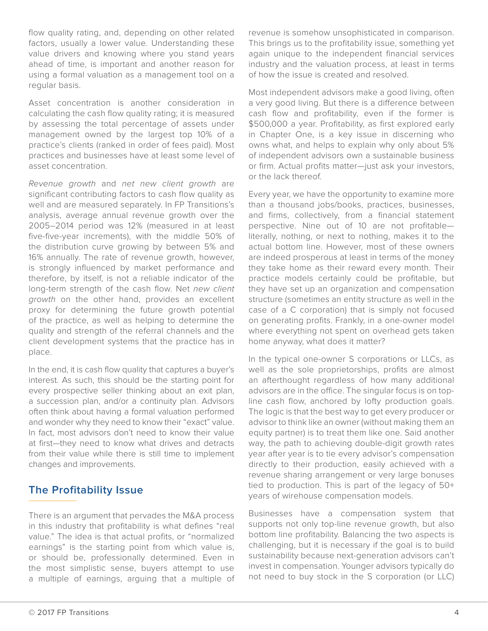flow quality rating, and, depending on other related factors, usually a lower value. Understanding these value drivers and knowing where you stand years ahead of time, is important and another reason for using a formal valuation as a management tool on a regular basis.

Asset concentration is another consideration in calculating the cash flow quality rating; it is measured by assessing the total percentage of assets under management owned by the largest top 10% of a practice's clients (ranked in order of fees paid). Most practices and businesses have at least some level of asset concentration.

*Revenue growth* and *net new client growth* are significant contributing factors to cash flow quality as well and are measured separately. In FP Transitions's analysis, average annual revenue growth over the 2005–2014 period was 12% (measured in at least five-five-year increments), with the middle 50% of the distribution curve growing by between 5% and 16% annually. The rate of revenue growth, however, is strongly influenced by market performance and therefore, by itself, is not a reliable indicator of the long-term strength of the cash flow. Net *new client growth* on the other hand, provides an excellent proxy for determining the future growth potential of the practice, as well as helping to determine the quality and strength of the referral channels and the client development systems that the practice has in place.

In the end, it is cash flow quality that captures a buyer's interest. As such, this should be the starting point for every prospective seller thinking about an exit plan, a succession plan, and/or a continuity plan. Advisors often think about having a formal valuation performed and wonder why they need to know their "exact" value. In fact, most advisors don't need to know their value at first—they need to know what drives and detracts from their value while there is still time to implement changes and improvements.

## **The Profitability Issue**

There is an argument that pervades the M&A process in this industry that profitability is what defines "real value." The idea is that actual profits, or "normalized earnings" is the starting point from which value is, or should be, professionally determined. Even in the most simplistic sense, buyers attempt to use a multiple of earnings, arguing that a multiple of revenue is somehow unsophisticated in comparison. This brings us to the profitability issue, something yet again unique to the independent financial services industry and the valuation process, at least in terms of how the issue is created and resolved.

Most independent advisors make a good living, often a very good living. But there is a difference between cash flow and profitability, even if the former is \$500,000 a year. Profitability, as first explored early in Chapter One, is a key issue in discerning who owns what, and helps to explain why only about 5% of independent advisors own a sustainable business or firm. Actual profits matter—just ask your investors, or the lack thereof.

Every year, we have the opportunity to examine more than a thousand jobs/books, practices, businesses, and firms, collectively, from a financial statement perspective. Nine out of 10 are not profitable literally, nothing, or next to nothing, makes it to the actual bottom line. However, most of these owners are indeed prosperous at least in terms of the money they take home as their reward every month. Their practice models certainly could be profitable, but they have set up an organization and compensation structure (sometimes an entity structure as well in the case of a C corporation) that is simply not focused on generating profits. Frankly, in a one-owner model where everything not spent on overhead gets taken home anyway, what does it matter?

In the typical one-owner S corporations or LLCs, as well as the sole proprietorships, profits are almost an afterthought regardless of how many additional advisors are in the office. The singular focus is on topline cash flow, anchored by lofty production goals. The logic is that the best way to get every producer or advisor to think like an owner (without making them an equity partner) is to treat them like one. Said another way, the path to achieving double-digit growth rates year after year is to tie every advisor's compensation directly to their production, easily achieved with a revenue sharing arrangement or very large bonuses tied to production. This is part of the legacy of 50+ years of wirehouse compensation models.

Businesses have a compensation system that supports not only top-line revenue growth, but also bottom line profitability. Balancing the two aspects is challenging, but it is necessary if the goal is to build sustainability because next-generation advisors can't invest in compensation. Younger advisors typically do not need to buy stock in the S corporation (or LLC)